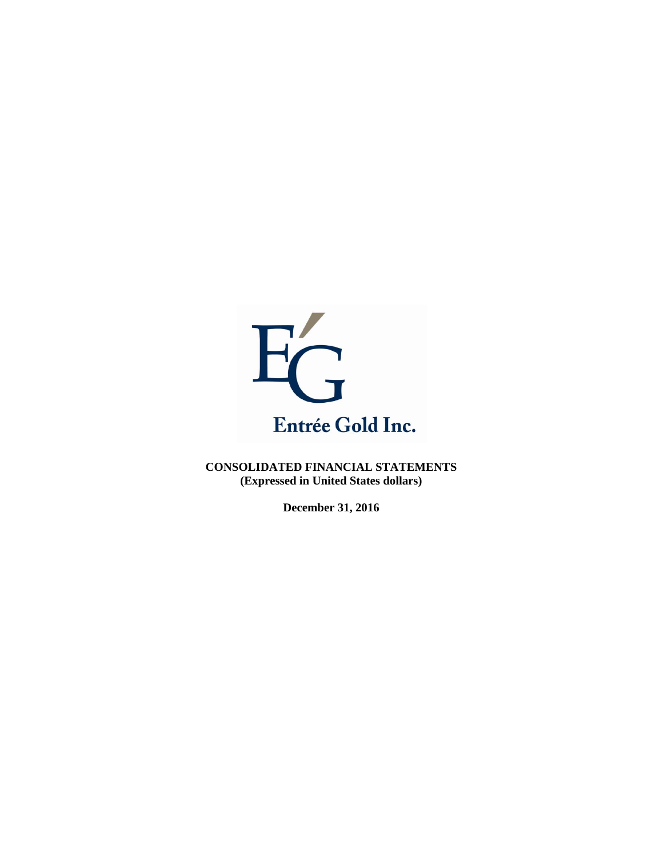

**CONSOLIDATED FINANCIAL STATEMENTS (Expressed in United States dollars)** 

**December 31, 2016**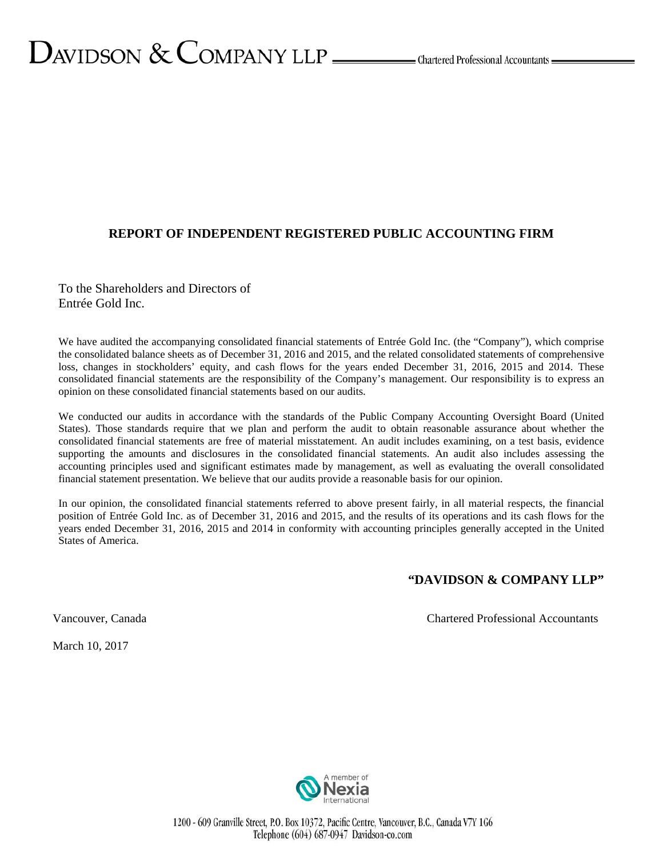### **REPORT OF INDEPENDENT REGISTERED PUBLIC ACCOUNTING FIRM**

To the Shareholders and Directors of Entrée Gold Inc.

We have audited the accompanying consolidated financial statements of Entrée Gold Inc. (the "Company"), which comprise the consolidated balance sheets as of December 31, 2016 and 2015, and the related consolidated statements of comprehensive loss, changes in stockholders' equity, and cash flows for the years ended December 31, 2016, 2015 and 2014. These consolidated financial statements are the responsibility of the Company's management. Our responsibility is to express an opinion on these consolidated financial statements based on our audits.

We conducted our audits in accordance with the standards of the Public Company Accounting Oversight Board (United States). Those standards require that we plan and perform the audit to obtain reasonable assurance about whether the consolidated financial statements are free of material misstatement. An audit includes examining, on a test basis, evidence supporting the amounts and disclosures in the consolidated financial statements. An audit also includes assessing the accounting principles used and significant estimates made by management, as well as evaluating the overall consolidated financial statement presentation. We believe that our audits provide a reasonable basis for our opinion.

In our opinion, the consolidated financial statements referred to above present fairly, in all material respects, the financial position of Entrée Gold Inc. as of December 31, 2016 and 2015, and the results of its operations and its cash flows for the years ended December 31, 2016, 2015 and 2014 in conformity with accounting principles generally accepted in the United States of America.

### **"DAVIDSON & COMPANY LLP"**

Vancouver, Canada Chartered Professional Accountants

March 10, 2017

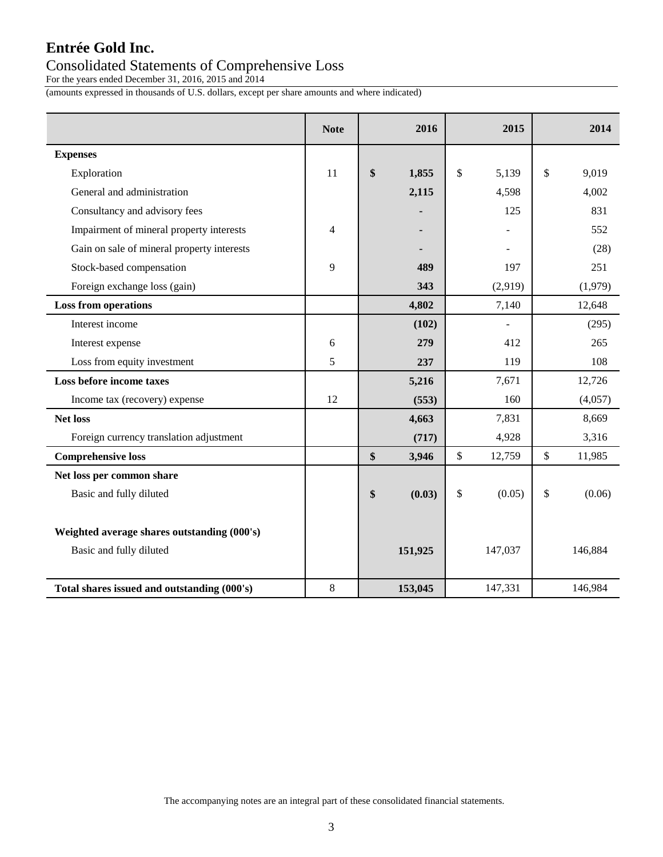## Consolidated Statements of Comprehensive Loss

For the years ended December 31, 2016, 2015 and 2014

(amounts expressed in thousands of U.S. dollars, except per share amounts and where indicated)

|                                             | <b>Note</b>              | 2016         | 2015         | 2014         |
|---------------------------------------------|--------------------------|--------------|--------------|--------------|
| <b>Expenses</b>                             |                          |              |              |              |
| Exploration                                 | 11                       | \$<br>1,855  | \$<br>5,139  | \$<br>9,019  |
| General and administration                  |                          | 2,115        | 4,598        | 4,002        |
| Consultancy and advisory fees               |                          |              | 125          | 831          |
| Impairment of mineral property interests    | $\overline{\mathcal{L}}$ |              |              | 552          |
| Gain on sale of mineral property interests  |                          |              |              | (28)         |
| Stock-based compensation                    | 9                        | 489          | 197          | 251          |
| Foreign exchange loss (gain)                |                          | 343          | (2,919)      | (1,979)      |
| <b>Loss from operations</b>                 |                          | 4,802        | 7,140        | 12,648       |
| Interest income                             |                          | (102)        |              | (295)        |
| Interest expense                            | 6                        | 279          | 412          | 265          |
| Loss from equity investment                 | 5                        | 237          | 119          | 108          |
| Loss before income taxes                    |                          | 5,216        | 7,671        | 12,726       |
| Income tax (recovery) expense               | 12                       | (553)        | 160          | (4,057)      |
| <b>Net loss</b>                             |                          | 4,663        | 7,831        | 8,669        |
| Foreign currency translation adjustment     |                          | (717)        | 4,928        | 3,316        |
| <b>Comprehensive loss</b>                   |                          | \$<br>3,946  | \$<br>12,759 | \$<br>11,985 |
| Net loss per common share                   |                          |              |              |              |
| Basic and fully diluted                     |                          | \$<br>(0.03) | \$<br>(0.05) | \$<br>(0.06) |
|                                             |                          |              |              |              |
| Weighted average shares outstanding (000's) |                          |              |              |              |
| Basic and fully diluted                     |                          | 151,925      | 147,037      | 146,884      |
|                                             |                          |              |              |              |
| Total shares issued and outstanding (000's) | 8                        | 153,045      | 147,331      | 146,984      |

The accompanying notes are an integral part of these consolidated financial statements.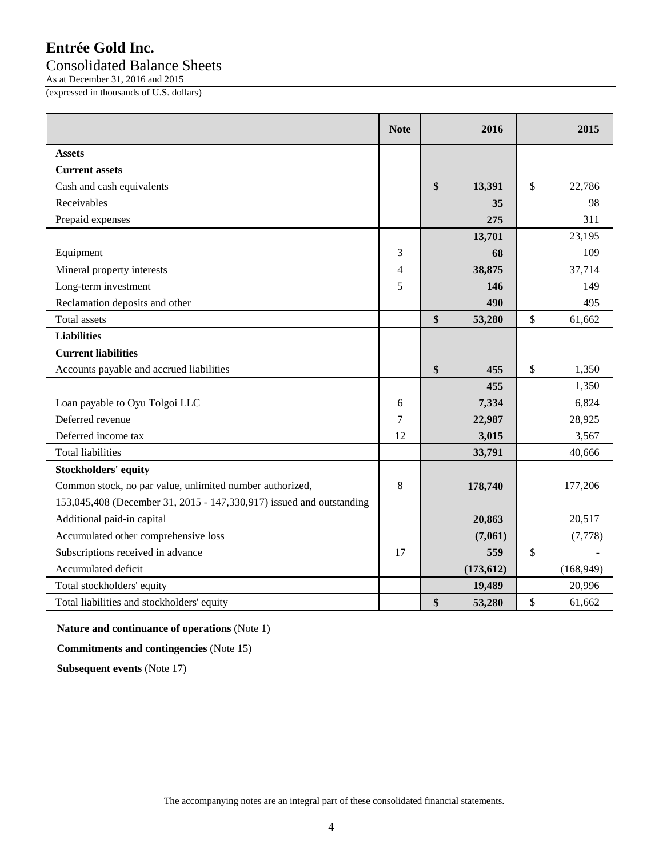## Consolidated Balance Sheets

As at December 31, 2016 and 2015

(expressed in thousands of U.S. dollars)

|                                                                      | <b>Note</b> | 2016         |              | 2015       |
|----------------------------------------------------------------------|-------------|--------------|--------------|------------|
| Assets                                                               |             |              |              |            |
| <b>Current assets</b>                                                |             |              |              |            |
| Cash and cash equivalents                                            |             | \$<br>13,391 | \$           | 22,786     |
| Receivables                                                          |             | 35           |              | 98         |
| Prepaid expenses                                                     |             | 275          |              | 311        |
|                                                                      |             | 13,701       |              | 23,195     |
| Equipment                                                            | 3           | 68           |              | 109        |
| Mineral property interests                                           | 4           | 38,875       |              | 37,714     |
| Long-term investment                                                 | 5           | 146          |              | 149        |
| Reclamation deposits and other                                       |             | 490          |              | 495        |
| <b>Total assets</b>                                                  |             | \$<br>53,280 | $\mathbb{S}$ | 61,662     |
| <b>Liabilities</b>                                                   |             |              |              |            |
| <b>Current liabilities</b>                                           |             |              |              |            |
| Accounts payable and accrued liabilities                             |             | \$<br>455    | $\mathbb{S}$ | 1,350      |
|                                                                      |             | 455          |              | 1,350      |
| Loan payable to Oyu Tolgoi LLC                                       | 6           | 7,334        |              | 6,824      |
| Deferred revenue                                                     | 7           | 22,987       |              | 28,925     |
| Deferred income tax                                                  | 12          | 3,015        |              | 3,567      |
| <b>Total liabilities</b>                                             |             | 33,791       |              | 40,666     |
| <b>Stockholders' equity</b>                                          |             |              |              |            |
| Common stock, no par value, unlimited number authorized,             | 8           | 178,740      |              | 177,206    |
| 153,045,408 (December 31, 2015 - 147,330,917) issued and outstanding |             |              |              |            |
| Additional paid-in capital                                           |             | 20,863       |              | 20,517     |
| Accumulated other comprehensive loss                                 |             | (7,061)      |              | (7,778)    |
| Subscriptions received in advance                                    | 17          | 559          | \$           |            |
| Accumulated deficit                                                  |             | (173, 612)   |              | (168, 949) |
| Total stockholders' equity                                           |             | 19,489       |              | 20,996     |
| Total liabilities and stockholders' equity                           |             | \$<br>53,280 | $\mathbb{S}$ | 61,662     |

**Nature and continuance of operations** (Note 1)

**Commitments and contingencies** (Note 15)

**Subsequent events** (Note 17)

The accompanying notes are an integral part of these consolidated financial statements.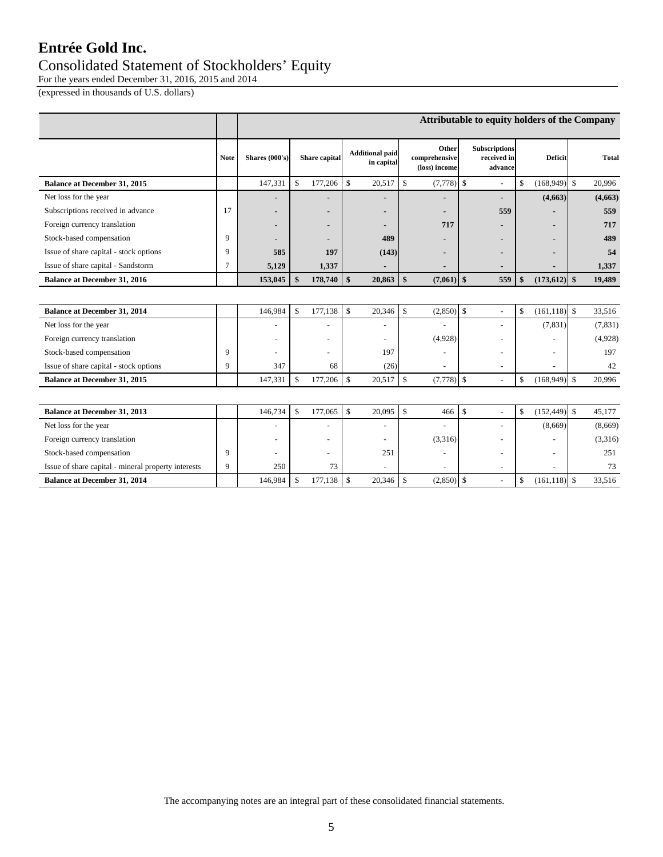### Consolidated Statement of Stockholders' Equity

For the years ended December 31, 2016, 2015 and 2014

(expressed in thousands of U.S. dollars)

|                                                     |             | Attributable to equity holders of the Company |                    |               |                    |                                      |                    |                                         |                    |                                                |                        |                 |                    |              |
|-----------------------------------------------------|-------------|-----------------------------------------------|--------------------|---------------|--------------------|--------------------------------------|--------------------|-----------------------------------------|--------------------|------------------------------------------------|------------------------|-----------------|--------------------|--------------|
|                                                     | <b>Note</b> | Shares (000's)                                |                    | Share capital |                    | <b>Additional paid</b><br>in capital |                    | Other<br>comprehensive<br>(loss) income |                    | <b>Subscriptions</b><br>received in<br>advance |                        | <b>Deficit</b>  |                    | <b>Total</b> |
| <b>Balance at December 31, 2015</b>                 |             | 147,331                                       | \$                 | 177,206       | $\mathbb{S}$       | 20,517                               | \$                 | (7, 778)                                | $\mathbb{S}$       | L                                              | \$                     | (168, 949)      | \$                 | 20,996       |
| Net loss for the year                               |             |                                               |                    |               |                    |                                      |                    |                                         |                    | ٠                                              |                        | (4,663)         |                    | (4,663)      |
| Subscriptions received in advance                   | 17          |                                               |                    |               |                    |                                      |                    |                                         |                    | 559                                            |                        |                 |                    | 559          |
| Foreign currency translation                        |             |                                               |                    |               |                    |                                      |                    | 717                                     |                    |                                                |                        |                 |                    | 717          |
| Stock-based compensation                            | 9           |                                               |                    |               |                    | 489                                  |                    |                                         |                    |                                                |                        |                 |                    | 489          |
| Issue of share capital - stock options              | 9           | 585                                           |                    | 197           |                    | (143)                                |                    |                                         |                    |                                                |                        |                 |                    | 54           |
| Issue of share capital - Sandstorm                  | 7           | 5,129                                         |                    | 1,337         |                    |                                      |                    |                                         |                    |                                                |                        |                 |                    | 1,337        |
| <b>Balance at December 31, 2016</b>                 |             | 153,045                                       | $\mathbf{\$}$      | 178,740       | $\mathbf{s}$       | 20,863                               | $\mathbf{\hat{s}}$ | $(7,061)$ \$                            |                    | 559                                            | $\boldsymbol{\hat{s}}$ | $(173, 612)$ \$ |                    | 19,489       |
|                                                     |             |                                               |                    |               |                    |                                      |                    |                                         |                    |                                                |                        |                 |                    |              |
| <b>Balance at December 31, 2014</b>                 |             | 146,984                                       | $\mathbf{\hat{S}}$ | 177,138       | $\mathbf{\hat{S}}$ | 20,346                               | \$                 | (2,850)                                 | $\mathbf{\hat{S}}$ | L,                                             | $\mathbf{\hat{S}}$     | (161, 118)      | $\mathbf{\hat{S}}$ | 33,516       |
| Net loss for the year                               |             |                                               |                    |               |                    | ٠                                    |                    | ٠                                       |                    | L,                                             |                        | (7, 831)        |                    | (7, 831)     |
| Foreign currency translation                        |             |                                               |                    |               |                    | $\overline{\phantom{a}}$             |                    | (4,928)                                 |                    | L.                                             |                        |                 |                    | (4,928)      |
| Stock-based compensation                            | 9           |                                               |                    |               |                    | 197                                  |                    | ÷,                                      |                    | ۳                                              |                        | $\sim$          |                    | 197          |
| Issue of share capital - stock options              | 9           | 347                                           |                    | 68            |                    | (26)                                 |                    |                                         |                    |                                                |                        |                 |                    | 42           |
| <b>Balance at December 31, 2015</b>                 |             | 147,331                                       | $\mathsf{\$}$      | 177,206       | $\mathbf{\hat{s}}$ | 20,517                               | $\mathcal{S}$      | $(7,778)$ \$                            |                    | $\overline{a}$                                 | $\mathbb{S}$           | (168,949)       | $\mathcal{S}$      | 20,996       |
|                                                     |             |                                               |                    |               |                    |                                      |                    |                                         |                    |                                                |                        |                 |                    |              |
| <b>Balance at December 31, 2013</b>                 |             | 146,734                                       | $\mathbb{S}$       | 177,065       | $\mathbb S$        | 20,095                               | \$                 | 466                                     | \$                 | L,                                             | $\mathbb{S}$           | (152, 449)      | $\mathcal{S}$      | 45,177       |
| Net loss for the year                               |             | $\sim$                                        |                    | ٠             |                    | $\overline{\phantom{a}}$             |                    | $\overline{\phantom{a}}$                |                    | L.                                             |                        | (8,669)         |                    | (8,669)      |
| Foreign currency translation                        |             |                                               |                    |               |                    |                                      |                    | (3,316)                                 |                    | ٠                                              |                        | $\overline{a}$  |                    | (3,316)      |
| Stock-based compensation                            | 9           | $\sim$                                        |                    |               |                    | 251                                  |                    | $\overline{\phantom{a}}$                |                    | L.                                             |                        | $\sim$          |                    | 251          |
| Issue of share capital - mineral property interests | 9           | 250                                           |                    | 73            |                    |                                      |                    |                                         |                    | ÷                                              |                        | $\overline{a}$  |                    | 73           |
| <b>Balance at December 31, 2014</b>                 |             | 146,984                                       | \$                 | 177,138       | \$                 | 20,346                               | \$                 | (2,850)                                 | $\mathbf{\hat{S}}$ |                                                | \$                     | $(161, 118)$ \$ |                    | 33,516       |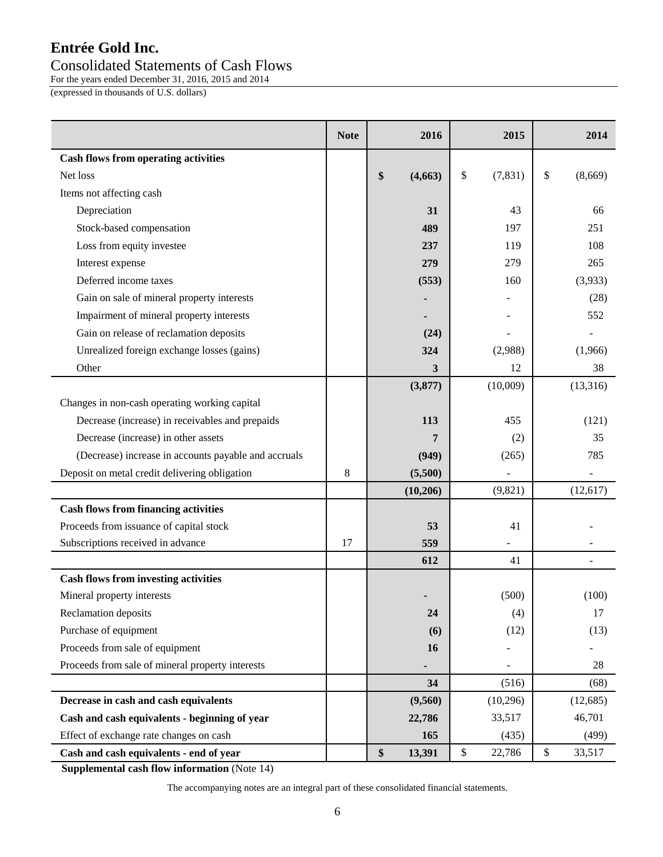## Consolidated Statements of Cash Flows

For the years ended December 31, 2016, 2015 and 2014

(expressed in thousands of U.S. dollars)

|                                                      | <b>Note</b> | 2016          | 2015           | 2014          |
|------------------------------------------------------|-------------|---------------|----------------|---------------|
| <b>Cash flows from operating activities</b>          |             |               |                |               |
| Net loss                                             |             | \$<br>(4,663) | \$<br>(7, 831) | \$<br>(8,669) |
| Items not affecting cash                             |             |               |                |               |
| Depreciation                                         |             | 31            | 43             | 66            |
| Stock-based compensation                             |             | 489           | 197            | 251           |
| Loss from equity investee                            |             | 237           | 119            | 108           |
| Interest expense                                     |             | 279           | 279            | 265           |
| Deferred income taxes                                |             | (553)         | 160            | (3,933)       |
| Gain on sale of mineral property interests           |             |               |                | (28)          |
| Impairment of mineral property interests             |             |               |                | 552           |
| Gain on release of reclamation deposits              |             | (24)          |                |               |
| Unrealized foreign exchange losses (gains)           |             | 324           | (2,988)        | (1,966)       |
| Other                                                |             | 3             | 12             | 38            |
|                                                      |             | (3,877)       | (10,009)       | (13,316)      |
| Changes in non-cash operating working capital        |             |               |                |               |
| Decrease (increase) in receivables and prepaids      |             | 113           | 455            | (121)         |
| Decrease (increase) in other assets                  |             |               | (2)            | 35            |
| (Decrease) increase in accounts payable and accruals |             | (949)         | (265)          | 785           |
| Deposit on metal credit delivering obligation        | 8           | (5,500)       |                |               |
|                                                      |             | (10, 206)     | (9,821)        | (12,617)      |
| <b>Cash flows from financing activities</b>          |             |               |                |               |
| Proceeds from issuance of capital stock              |             | 53            | 41             |               |
| Subscriptions received in advance                    | 17          | 559           |                |               |
|                                                      |             | 612           | 41             |               |
| <b>Cash flows from investing activities</b>          |             |               |                |               |
| Mineral property interests                           |             |               | (500)          | (100)         |
| <b>Reclamation deposits</b>                          |             | 24            | (4)            | 17            |
| Purchase of equipment                                |             | (6)           | (12)           | (13)          |
| Proceeds from sale of equipment                      |             | 16            |                |               |
| Proceeds from sale of mineral property interests     |             |               |                | 28            |
|                                                      |             | 34            | (516)          | (68)          |
| Decrease in cash and cash equivalents                |             | (9,560)       | (10,296)       | (12,685)      |
| Cash and cash equivalents - beginning of year        |             | 22,786        | 33,517         | 46,701        |
| Effect of exchange rate changes on cash              |             | 165           | (435)          | (499)         |
| Cash and cash equivalents - end of year              |             | \$<br>13,391  | \$<br>22,786   | \$<br>33,517  |

 **Supplemental cash flow information** (Note 14)

The accompanying notes are an integral part of these consolidated financial statements.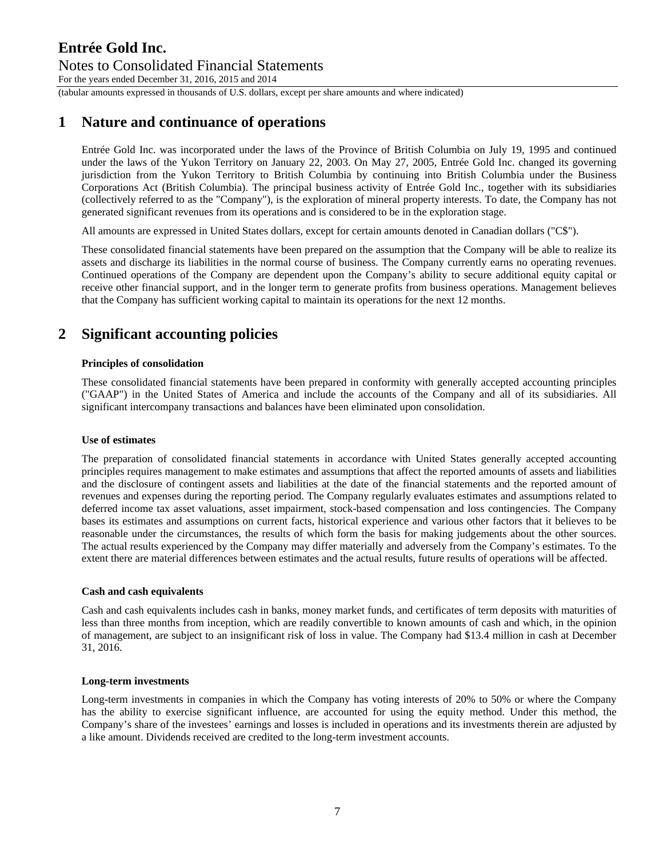### **Entrée Gold Inc.**  Notes to Consolidated Financial Statements For the years ended December 31, 2016, 2015 and 2014

(tabular amounts expressed in thousands of U.S. dollars, except per share amounts and where indicated)

## **1 Nature and continuance of operations**

Entrée Gold Inc. was incorporated under the laws of the Province of British Columbia on July 19, 1995 and continued under the laws of the Yukon Territory on January 22, 2003. On May 27, 2005, Entrée Gold Inc. changed its governing jurisdiction from the Yukon Territory to British Columbia by continuing into British Columbia under the Business Corporations Act (British Columbia). The principal business activity of Entrée Gold Inc., together with its subsidiaries (collectively referred to as the "Company"), is the exploration of mineral property interests. To date, the Company has not generated significant revenues from its operations and is considered to be in the exploration stage.

All amounts are expressed in United States dollars, except for certain amounts denoted in Canadian dollars ("C\$").

These consolidated financial statements have been prepared on the assumption that the Company will be able to realize its assets and discharge its liabilities in the normal course of business. The Company currently earns no operating revenues. Continued operations of the Company are dependent upon the Company's ability to secure additional equity capital or receive other financial support, and in the longer term to generate profits from business operations. Management believes that the Company has sufficient working capital to maintain its operations for the next 12 months.

## **2 Significant accounting policies**

### **Principles of consolidation**

These consolidated financial statements have been prepared in conformity with generally accepted accounting principles ("GAAP") in the United States of America and include the accounts of the Company and all of its subsidiaries. All significant intercompany transactions and balances have been eliminated upon consolidation.

### **Use of estimates**

The preparation of consolidated financial statements in accordance with United States generally accepted accounting principles requires management to make estimates and assumptions that affect the reported amounts of assets and liabilities and the disclosure of contingent assets and liabilities at the date of the financial statements and the reported amount of revenues and expenses during the reporting period. The Company regularly evaluates estimates and assumptions related to deferred income tax asset valuations, asset impairment, stock-based compensation and loss contingencies. The Company bases its estimates and assumptions on current facts, historical experience and various other factors that it believes to be reasonable under the circumstances, the results of which form the basis for making judgements about the other sources. The actual results experienced by the Company may differ materially and adversely from the Company's estimates. To the extent there are material differences between estimates and the actual results, future results of operations will be affected.

### **Cash and cash equivalents**

Cash and cash equivalents includes cash in banks, money market funds, and certificates of term deposits with maturities of less than three months from inception, which are readily convertible to known amounts of cash and which, in the opinion of management, are subject to an insignificant risk of loss in value. The Company had \$13.4 million in cash at December 31, 2016.

### **Long-term investments**

Long-term investments in companies in which the Company has voting interests of 20% to 50% or where the Company has the ability to exercise significant influence, are accounted for using the equity method. Under this method, the Company's share of the investees' earnings and losses is included in operations and its investments therein are adjusted by a like amount. Dividends received are credited to the long-term investment accounts.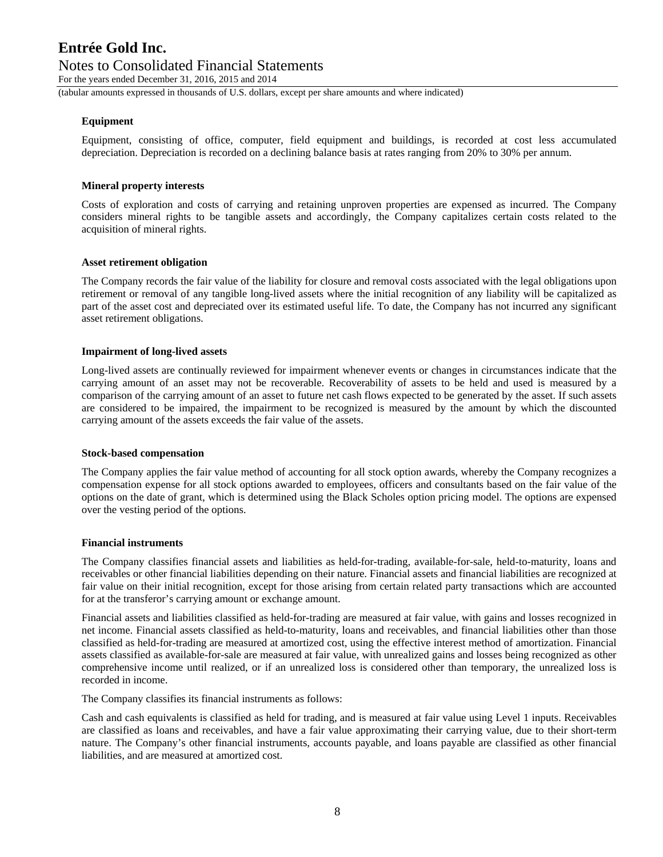For the years ended December 31, 2016, 2015 and 2014

(tabular amounts expressed in thousands of U.S. dollars, except per share amounts and where indicated)

### **Equipment**

Equipment, consisting of office, computer, field equipment and buildings, is recorded at cost less accumulated depreciation. Depreciation is recorded on a declining balance basis at rates ranging from 20% to 30% per annum.

### **Mineral property interests**

Costs of exploration and costs of carrying and retaining unproven properties are expensed as incurred. The Company considers mineral rights to be tangible assets and accordingly, the Company capitalizes certain costs related to the acquisition of mineral rights.

#### **Asset retirement obligation**

The Company records the fair value of the liability for closure and removal costs associated with the legal obligations upon retirement or removal of any tangible long-lived assets where the initial recognition of any liability will be capitalized as part of the asset cost and depreciated over its estimated useful life. To date, the Company has not incurred any significant asset retirement obligations.

#### **Impairment of long-lived assets**

Long-lived assets are continually reviewed for impairment whenever events or changes in circumstances indicate that the carrying amount of an asset may not be recoverable. Recoverability of assets to be held and used is measured by a comparison of the carrying amount of an asset to future net cash flows expected to be generated by the asset. If such assets are considered to be impaired, the impairment to be recognized is measured by the amount by which the discounted carrying amount of the assets exceeds the fair value of the assets.

#### **Stock-based compensation**

The Company applies the fair value method of accounting for all stock option awards, whereby the Company recognizes a compensation expense for all stock options awarded to employees, officers and consultants based on the fair value of the options on the date of grant, which is determined using the Black Scholes option pricing model. The options are expensed over the vesting period of the options.

### **Financial instruments**

The Company classifies financial assets and liabilities as held-for-trading, available-for-sale, held-to-maturity, loans and receivables or other financial liabilities depending on their nature. Financial assets and financial liabilities are recognized at fair value on their initial recognition, except for those arising from certain related party transactions which are accounted for at the transferor's carrying amount or exchange amount.

Financial assets and liabilities classified as held-for-trading are measured at fair value, with gains and losses recognized in net income. Financial assets classified as held-to-maturity, loans and receivables, and financial liabilities other than those classified as held-for-trading are measured at amortized cost, using the effective interest method of amortization. Financial assets classified as available-for-sale are measured at fair value, with unrealized gains and losses being recognized as other comprehensive income until realized, or if an unrealized loss is considered other than temporary, the unrealized loss is recorded in income.

The Company classifies its financial instruments as follows:

Cash and cash equivalents is classified as held for trading, and is measured at fair value using Level 1 inputs. Receivables are classified as loans and receivables, and have a fair value approximating their carrying value, due to their short-term nature. The Company's other financial instruments, accounts payable, and loans payable are classified as other financial liabilities, and are measured at amortized cost.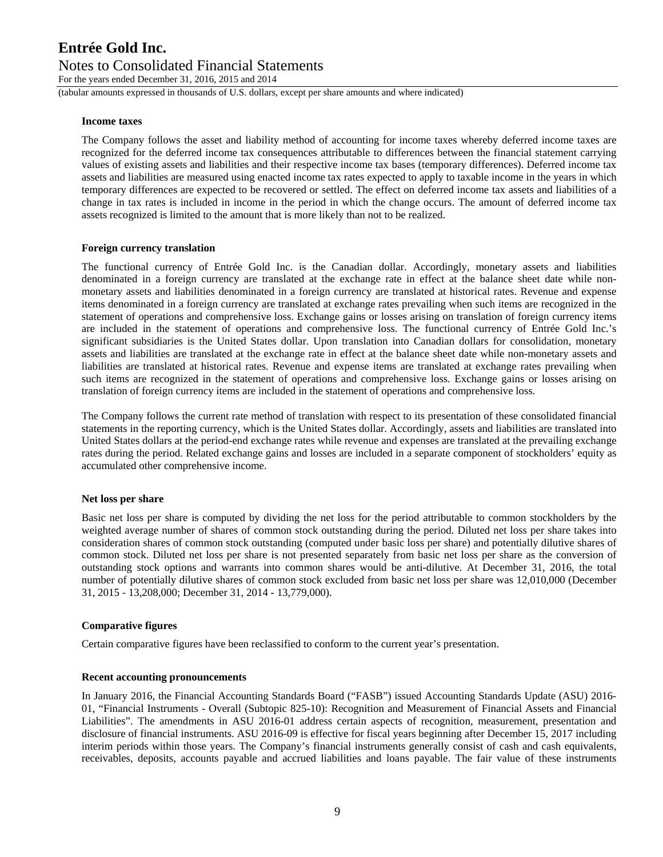For the years ended December 31, 2016, 2015 and 2014

(tabular amounts expressed in thousands of U.S. dollars, except per share amounts and where indicated)

#### **Income taxes**

The Company follows the asset and liability method of accounting for income taxes whereby deferred income taxes are recognized for the deferred income tax consequences attributable to differences between the financial statement carrying values of existing assets and liabilities and their respective income tax bases (temporary differences). Deferred income tax assets and liabilities are measured using enacted income tax rates expected to apply to taxable income in the years in which temporary differences are expected to be recovered or settled. The effect on deferred income tax assets and liabilities of a change in tax rates is included in income in the period in which the change occurs. The amount of deferred income tax assets recognized is limited to the amount that is more likely than not to be realized.

### **Foreign currency translation**

The functional currency of Entrée Gold Inc. is the Canadian dollar. Accordingly, monetary assets and liabilities denominated in a foreign currency are translated at the exchange rate in effect at the balance sheet date while nonmonetary assets and liabilities denominated in a foreign currency are translated at historical rates. Revenue and expense items denominated in a foreign currency are translated at exchange rates prevailing when such items are recognized in the statement of operations and comprehensive loss. Exchange gains or losses arising on translation of foreign currency items are included in the statement of operations and comprehensive loss. The functional currency of Entrée Gold Inc.'s significant subsidiaries is the United States dollar. Upon translation into Canadian dollars for consolidation, monetary assets and liabilities are translated at the exchange rate in effect at the balance sheet date while non-monetary assets and liabilities are translated at historical rates. Revenue and expense items are translated at exchange rates prevailing when such items are recognized in the statement of operations and comprehensive loss. Exchange gains or losses arising on translation of foreign currency items are included in the statement of operations and comprehensive loss.

The Company follows the current rate method of translation with respect to its presentation of these consolidated financial statements in the reporting currency, which is the United States dollar. Accordingly, assets and liabilities are translated into United States dollars at the period-end exchange rates while revenue and expenses are translated at the prevailing exchange rates during the period. Related exchange gains and losses are included in a separate component of stockholders' equity as accumulated other comprehensive income.

### **Net loss per share**

Basic net loss per share is computed by dividing the net loss for the period attributable to common stockholders by the weighted average number of shares of common stock outstanding during the period. Diluted net loss per share takes into consideration shares of common stock outstanding (computed under basic loss per share) and potentially dilutive shares of common stock. Diluted net loss per share is not presented separately from basic net loss per share as the conversion of outstanding stock options and warrants into common shares would be anti-dilutive. At December 31, 2016, the total number of potentially dilutive shares of common stock excluded from basic net loss per share was 12,010,000 (December 31, 2015 - 13,208,000; December 31, 2014 - 13,779,000).

### **Comparative figures**

Certain comparative figures have been reclassified to conform to the current year's presentation.

#### **Recent accounting pronouncements**

In January 2016, the Financial Accounting Standards Board ("FASB") issued Accounting Standards Update (ASU) 2016- 01, "Financial Instruments - Overall (Subtopic 825-10): Recognition and Measurement of Financial Assets and Financial Liabilities". The amendments in ASU 2016-01 address certain aspects of recognition, measurement, presentation and disclosure of financial instruments. ASU 2016-09 is effective for fiscal years beginning after December 15, 2017 including interim periods within those years. The Company's financial instruments generally consist of cash and cash equivalents, receivables, deposits, accounts payable and accrued liabilities and loans payable. The fair value of these instruments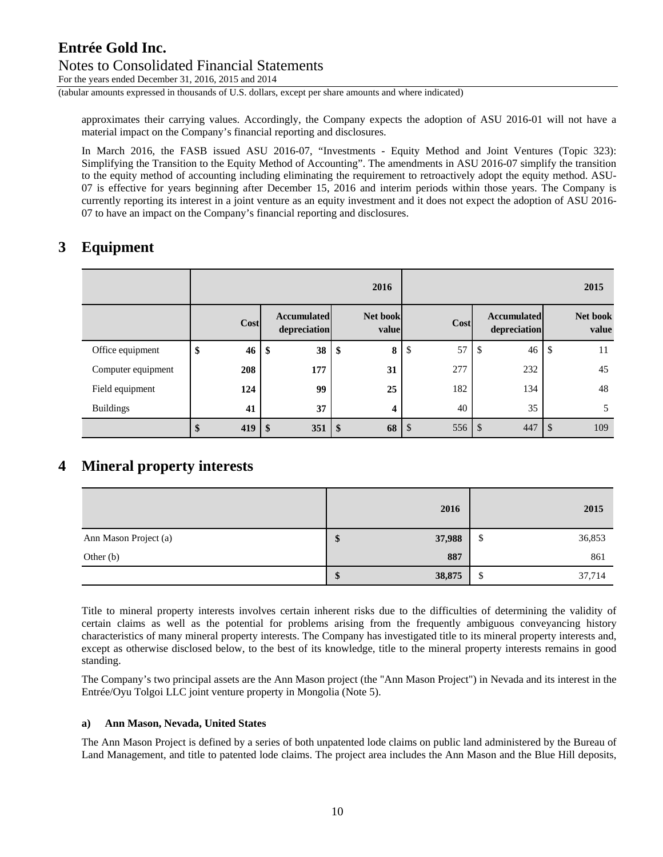For the years ended December 31, 2016, 2015 and 2014

(tabular amounts expressed in thousands of U.S. dollars, except per share amounts and where indicated)

approximates their carrying values. Accordingly, the Company expects the adoption of ASU 2016-01 will not have a material impact on the Company's financial reporting and disclosures.

In March 2016, the FASB issued ASU 2016-07, "Investments - Equity Method and Joint Ventures (Topic 323): Simplifying the Transition to the Equity Method of Accounting". The amendments in ASU 2016-07 simplify the transition to the equity method of accounting including eliminating the requirement to retroactively adopt the equity method. ASU-07 is effective for years beginning after December 15, 2016 and interim periods within those years. The Company is currently reporting its interest in a joint venture as an equity investment and it does not expect the adoption of ASU 2016- 07 to have an impact on the Company's financial reporting and disclosures.

# **3 Equipment**

|                    |          | 2016 |                                    |                         |                   |               |        |    |                                    |               | 2015              |
|--------------------|----------|------|------------------------------------|-------------------------|-------------------|---------------|--------|----|------------------------------------|---------------|-------------------|
|                    | Cost     |      | <b>Accumulated</b><br>depreciation |                         | Net book<br>value |               | Cost   |    | <b>Accumulated</b><br>depreciation |               | Net book<br>value |
| Office equipment   | \$<br>46 | Œ    | 38                                 | \$                      | 8                 | \$            | 57     | \$ | 46                                 | $\mathcal{S}$ | 11                |
| Computer equipment | 208      |      | 177                                |                         | 31                |               | 277    |    | 232                                |               | 45                |
| Field equipment    | 124      |      | 99                                 |                         | 25                |               | 182    |    | 134                                |               | 48                |
| <b>Buildings</b>   | 41       |      | 37                                 |                         | 4                 |               | 40     |    | 35                                 |               | 5                 |
|                    | 419      |      | 351                                | $\sqrt[6]{\frac{1}{2}}$ | 68                | $\mathcal{S}$ | 556 \$ |    | 447                                | <sup>\$</sup> | 109               |

# **4 Mineral property interests**

|                       |   | 2016   |        | 2015   |
|-----------------------|---|--------|--------|--------|
| Ann Mason Project (a) | Φ | 37,988 | ╓<br>Φ | 36,853 |
| Other $(b)$           |   | 887    |        | 861    |
|                       | Φ | 38,875 | Φ<br>Φ | 37,714 |

Title to mineral property interests involves certain inherent risks due to the difficulties of determining the validity of certain claims as well as the potential for problems arising from the frequently ambiguous conveyancing history characteristics of many mineral property interests. The Company has investigated title to its mineral property interests and, except as otherwise disclosed below, to the best of its knowledge, title to the mineral property interests remains in good standing.

The Company's two principal assets are the Ann Mason project (the "Ann Mason Project") in Nevada and its interest in the Entrée/Oyu Tolgoi LLC joint venture property in Mongolia (Note 5).

### **a) Ann Mason, Nevada, United States**

The Ann Mason Project is defined by a series of both unpatented lode claims on public land administered by the Bureau of Land Management, and title to patented lode claims. The project area includes the Ann Mason and the Blue Hill deposits,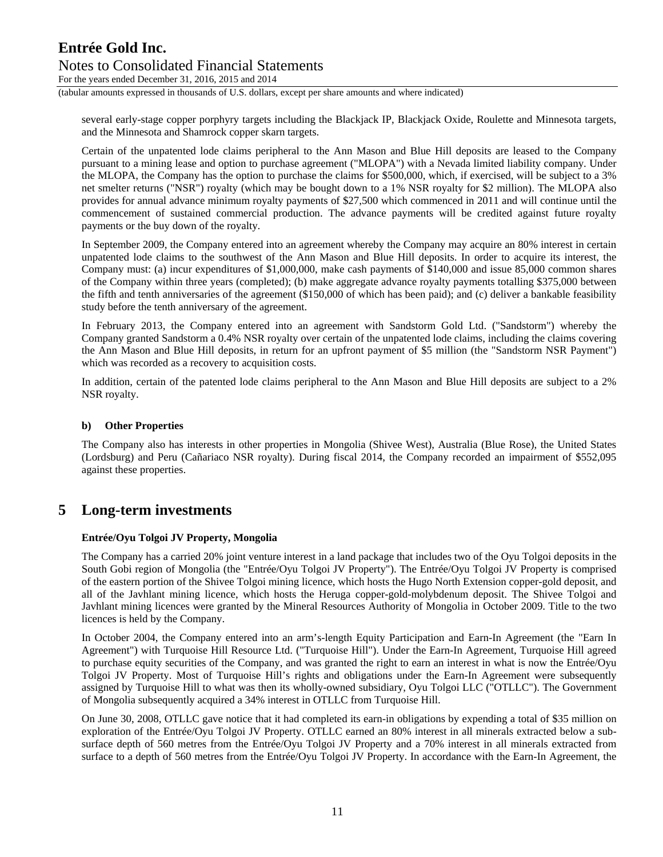For the years ended December 31, 2016, 2015 and 2014

(tabular amounts expressed in thousands of U.S. dollars, except per share amounts and where indicated)

several early-stage copper porphyry targets including the Blackjack IP, Blackjack Oxide, Roulette and Minnesota targets, and the Minnesota and Shamrock copper skarn targets.

Certain of the unpatented lode claims peripheral to the Ann Mason and Blue Hill deposits are leased to the Company pursuant to a mining lease and option to purchase agreement ("MLOPA") with a Nevada limited liability company. Under the MLOPA, the Company has the option to purchase the claims for \$500,000, which, if exercised, will be subject to a 3% net smelter returns ("NSR") royalty (which may be bought down to a 1% NSR royalty for \$2 million). The MLOPA also provides for annual advance minimum royalty payments of \$27,500 which commenced in 2011 and will continue until the commencement of sustained commercial production. The advance payments will be credited against future royalty payments or the buy down of the royalty.

In September 2009, the Company entered into an agreement whereby the Company may acquire an 80% interest in certain unpatented lode claims to the southwest of the Ann Mason and Blue Hill deposits. In order to acquire its interest, the Company must: (a) incur expenditures of \$1,000,000, make cash payments of \$140,000 and issue 85,000 common shares of the Company within three years (completed); (b) make aggregate advance royalty payments totalling \$375,000 between the fifth and tenth anniversaries of the agreement (\$150,000 of which has been paid); and (c) deliver a bankable feasibility study before the tenth anniversary of the agreement.

In February 2013, the Company entered into an agreement with Sandstorm Gold Ltd. ("Sandstorm") whereby the Company granted Sandstorm a 0.4% NSR royalty over certain of the unpatented lode claims, including the claims covering the Ann Mason and Blue Hill deposits, in return for an upfront payment of \$5 million (the "Sandstorm NSR Payment") which was recorded as a recovery to acquisition costs.

In addition, certain of the patented lode claims peripheral to the Ann Mason and Blue Hill deposits are subject to a 2% NSR royalty.

### **b) Other Properties**

The Company also has interests in other properties in Mongolia (Shivee West), Australia (Blue Rose), the United States (Lordsburg) and Peru (Cañariaco NSR royalty). During fiscal 2014, the Company recorded an impairment of \$552,095 against these properties.

## **5 Long-term investments**

### **Entrée/Oyu Tolgoi JV Property, Mongolia**

The Company has a carried 20% joint venture interest in a land package that includes two of the Oyu Tolgoi deposits in the South Gobi region of Mongolia (the "Entrée/Oyu Tolgoi JV Property"). The Entrée/Oyu Tolgoi JV Property is comprised of the eastern portion of the Shivee Tolgoi mining licence, which hosts the Hugo North Extension copper-gold deposit, and all of the Javhlant mining licence, which hosts the Heruga copper-gold-molybdenum deposit. The Shivee Tolgoi and Javhlant mining licences were granted by the Mineral Resources Authority of Mongolia in October 2009. Title to the two licences is held by the Company.

In October 2004, the Company entered into an arm's-length Equity Participation and Earn-In Agreement (the "Earn In Agreement") with Turquoise Hill Resource Ltd. ("Turquoise Hill"). Under the Earn-In Agreement, Turquoise Hill agreed to purchase equity securities of the Company, and was granted the right to earn an interest in what is now the Entrée/Oyu Tolgoi JV Property. Most of Turquoise Hill's rights and obligations under the Earn-In Agreement were subsequently assigned by Turquoise Hill to what was then its wholly-owned subsidiary, Oyu Tolgoi LLC ("OTLLC"). The Government of Mongolia subsequently acquired a 34% interest in OTLLC from Turquoise Hill.

On June 30, 2008, OTLLC gave notice that it had completed its earn-in obligations by expending a total of \$35 million on exploration of the Entrée/Oyu Tolgoi JV Property. OTLLC earned an 80% interest in all minerals extracted below a subsurface depth of 560 metres from the Entrée/Oyu Tolgoi JV Property and a 70% interest in all minerals extracted from surface to a depth of 560 metres from the Entrée/Oyu Tolgoi JV Property. In accordance with the Earn-In Agreement, the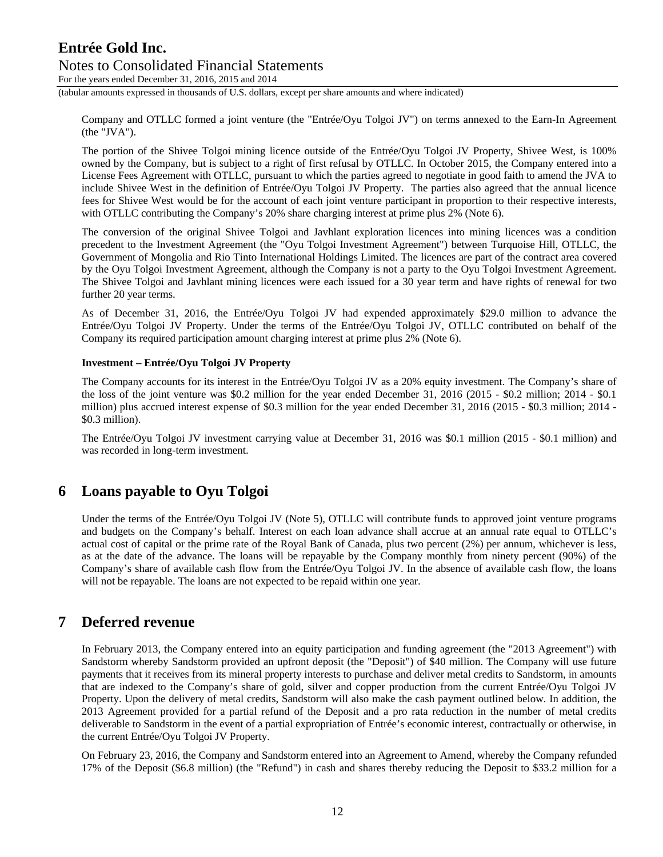For the years ended December 31, 2016, 2015 and 2014

(tabular amounts expressed in thousands of U.S. dollars, except per share amounts and where indicated)

Company and OTLLC formed a joint venture (the "Entrée/Oyu Tolgoi JV") on terms annexed to the Earn-In Agreement (the "JVA").

The portion of the Shivee Tolgoi mining licence outside of the Entrée/Oyu Tolgoi JV Property, Shivee West, is 100% owned by the Company, but is subject to a right of first refusal by OTLLC. In October 2015, the Company entered into a License Fees Agreement with OTLLC, pursuant to which the parties agreed to negotiate in good faith to amend the JVA to include Shivee West in the definition of Entrée/Oyu Tolgoi JV Property. The parties also agreed that the annual licence fees for Shivee West would be for the account of each joint venture participant in proportion to their respective interests, with OTLLC contributing the Company's 20% share charging interest at prime plus 2% (Note 6).

The conversion of the original Shivee Tolgoi and Javhlant exploration licences into mining licences was a condition precedent to the Investment Agreement (the "Oyu Tolgoi Investment Agreement") between Turquoise Hill, OTLLC, the Government of Mongolia and Rio Tinto International Holdings Limited. The licences are part of the contract area covered by the Oyu Tolgoi Investment Agreement, although the Company is not a party to the Oyu Tolgoi Investment Agreement. The Shivee Tolgoi and Javhlant mining licences were each issued for a 30 year term and have rights of renewal for two further 20 year terms.

As of December 31, 2016, the Entrée/Oyu Tolgoi JV had expended approximately \$29.0 million to advance the Entrée/Oyu Tolgoi JV Property. Under the terms of the Entrée/Oyu Tolgoi JV, OTLLC contributed on behalf of the Company its required participation amount charging interest at prime plus 2% (Note 6).

### **Investment – Entrée/Oyu Tolgoi JV Property**

The Company accounts for its interest in the Entrée/Oyu Tolgoi JV as a 20% equity investment. The Company's share of the loss of the joint venture was \$0.2 million for the year ended December 31, 2016 (2015 - \$0.2 million; 2014 - \$0.1 million) plus accrued interest expense of \$0.3 million for the year ended December 31, 2016 (2015 - \$0.3 million; 2014 - \$0.3 million).

The Entrée/Oyu Tolgoi JV investment carrying value at December 31, 2016 was \$0.1 million (2015 - \$0.1 million) and was recorded in long-term investment.

## **6 Loans payable to Oyu Tolgoi**

Under the terms of the Entrée/Oyu Tolgoi JV (Note 5), OTLLC will contribute funds to approved joint venture programs and budgets on the Company's behalf. Interest on each loan advance shall accrue at an annual rate equal to OTLLC's actual cost of capital or the prime rate of the Royal Bank of Canada, plus two percent (2%) per annum, whichever is less, as at the date of the advance. The loans will be repayable by the Company monthly from ninety percent (90%) of the Company's share of available cash flow from the Entrée/Oyu Tolgoi JV. In the absence of available cash flow, the loans will not be repayable. The loans are not expected to be repaid within one year.

### **7 Deferred revenue**

In February 2013, the Company entered into an equity participation and funding agreement (the "2013 Agreement") with Sandstorm whereby Sandstorm provided an upfront deposit (the "Deposit") of \$40 million. The Company will use future payments that it receives from its mineral property interests to purchase and deliver metal credits to Sandstorm, in amounts that are indexed to the Company's share of gold, silver and copper production from the current Entrée/Oyu Tolgoi JV Property. Upon the delivery of metal credits, Sandstorm will also make the cash payment outlined below. In addition, the 2013 Agreement provided for a partial refund of the Deposit and a pro rata reduction in the number of metal credits deliverable to Sandstorm in the event of a partial expropriation of Entrée's economic interest, contractually or otherwise, in the current Entrée/Oyu Tolgoi JV Property.

On February 23, 2016, the Company and Sandstorm entered into an Agreement to Amend, whereby the Company refunded 17% of the Deposit (\$6.8 million) (the "Refund") in cash and shares thereby reducing the Deposit to \$33.2 million for a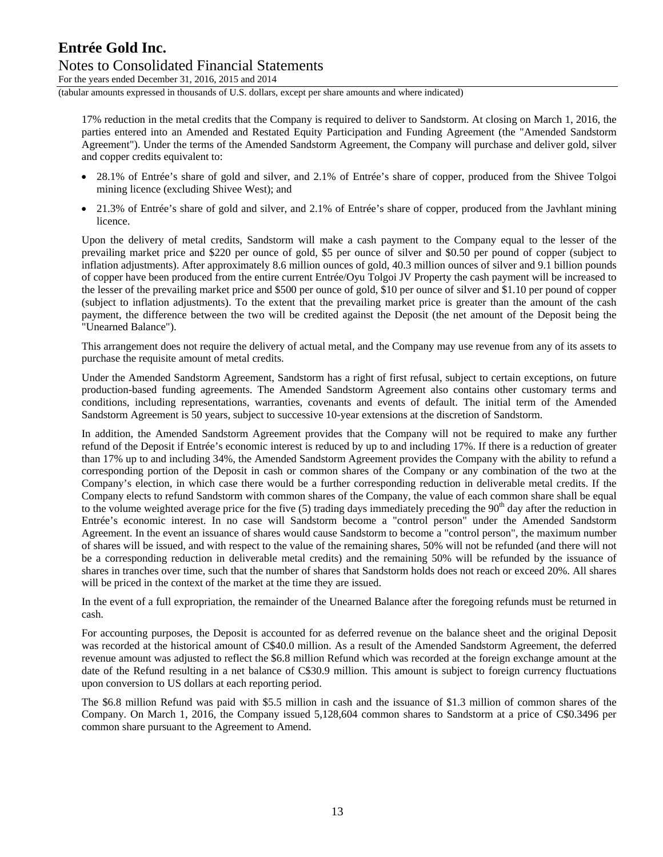For the years ended December 31, 2016, 2015 and 2014

(tabular amounts expressed in thousands of U.S. dollars, except per share amounts and where indicated)

17% reduction in the metal credits that the Company is required to deliver to Sandstorm. At closing on March 1, 2016, the parties entered into an Amended and Restated Equity Participation and Funding Agreement (the "Amended Sandstorm Agreement"). Under the terms of the Amended Sandstorm Agreement, the Company will purchase and deliver gold, silver and copper credits equivalent to:

- 28.1% of Entrée's share of gold and silver, and 2.1% of Entrée's share of copper, produced from the Shivee Tolgoi mining licence (excluding Shivee West); and
- 21.3% of Entrée's share of gold and silver, and 2.1% of Entrée's share of copper, produced from the Javhlant mining licence.

Upon the delivery of metal credits, Sandstorm will make a cash payment to the Company equal to the lesser of the prevailing market price and \$220 per ounce of gold, \$5 per ounce of silver and \$0.50 per pound of copper (subject to inflation adjustments). After approximately 8.6 million ounces of gold, 40.3 million ounces of silver and 9.1 billion pounds of copper have been produced from the entire current Entrée/Oyu Tolgoi JV Property the cash payment will be increased to the lesser of the prevailing market price and \$500 per ounce of gold, \$10 per ounce of silver and \$1.10 per pound of copper (subject to inflation adjustments). To the extent that the prevailing market price is greater than the amount of the cash payment, the difference between the two will be credited against the Deposit (the net amount of the Deposit being the "Unearned Balance").

This arrangement does not require the delivery of actual metal, and the Company may use revenue from any of its assets to purchase the requisite amount of metal credits.

Under the Amended Sandstorm Agreement, Sandstorm has a right of first refusal, subject to certain exceptions, on future production-based funding agreements. The Amended Sandstorm Agreement also contains other customary terms and conditions, including representations, warranties, covenants and events of default. The initial term of the Amended Sandstorm Agreement is 50 years, subject to successive 10-year extensions at the discretion of Sandstorm.

In addition, the Amended Sandstorm Agreement provides that the Company will not be required to make any further refund of the Deposit if Entrée's economic interest is reduced by up to and including 17%. If there is a reduction of greater than 17% up to and including 34%, the Amended Sandstorm Agreement provides the Company with the ability to refund a corresponding portion of the Deposit in cash or common shares of the Company or any combination of the two at the Company's election, in which case there would be a further corresponding reduction in deliverable metal credits. If the Company elects to refund Sandstorm with common shares of the Company, the value of each common share shall be equal to the volume weighted average price for the five  $(5)$  trading days immediately preceding the 90<sup>th</sup> day after the reduction in Entrée's economic interest. In no case will Sandstorm become a "control person" under the Amended Sandstorm Agreement. In the event an issuance of shares would cause Sandstorm to become a "control person", the maximum number of shares will be issued, and with respect to the value of the remaining shares, 50% will not be refunded (and there will not be a corresponding reduction in deliverable metal credits) and the remaining 50% will be refunded by the issuance of shares in tranches over time, such that the number of shares that Sandstorm holds does not reach or exceed 20%. All shares will be priced in the context of the market at the time they are issued.

In the event of a full expropriation, the remainder of the Unearned Balance after the foregoing refunds must be returned in cash.

For accounting purposes, the Deposit is accounted for as deferred revenue on the balance sheet and the original Deposit was recorded at the historical amount of C\$40.0 million. As a result of the Amended Sandstorm Agreement, the deferred revenue amount was adjusted to reflect the \$6.8 million Refund which was recorded at the foreign exchange amount at the date of the Refund resulting in a net balance of C\$30.9 million. This amount is subject to foreign currency fluctuations upon conversion to US dollars at each reporting period.

The \$6.8 million Refund was paid with \$5.5 million in cash and the issuance of \$1.3 million of common shares of the Company. On March 1, 2016, the Company issued 5,128,604 common shares to Sandstorm at a price of C\$0.3496 per common share pursuant to the Agreement to Amend.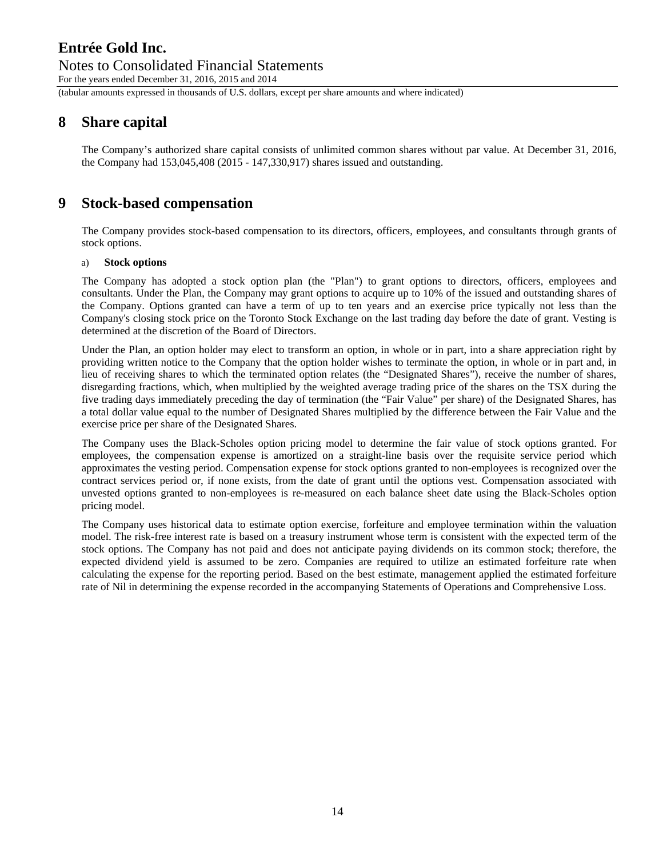# Notes to Consolidated Financial Statements

For the years ended December 31, 2016, 2015 and 2014

(tabular amounts expressed in thousands of U.S. dollars, except per share amounts and where indicated)

# **8 Share capital**

The Company's authorized share capital consists of unlimited common shares without par value. At December 31, 2016, the Company had 153,045,408 (2015 - 147,330,917) shares issued and outstanding.

# **9 Stock-based compensation**

The Company provides stock-based compensation to its directors, officers, employees, and consultants through grants of stock options.

### a) **Stock options**

The Company has adopted a stock option plan (the "Plan") to grant options to directors, officers, employees and consultants. Under the Plan, the Company may grant options to acquire up to 10% of the issued and outstanding shares of the Company. Options granted can have a term of up to ten years and an exercise price typically not less than the Company's closing stock price on the Toronto Stock Exchange on the last trading day before the date of grant. Vesting is determined at the discretion of the Board of Directors.

Under the Plan, an option holder may elect to transform an option, in whole or in part, into a share appreciation right by providing written notice to the Company that the option holder wishes to terminate the option, in whole or in part and, in lieu of receiving shares to which the terminated option relates (the "Designated Shares"), receive the number of shares, disregarding fractions, which, when multiplied by the weighted average trading price of the shares on the TSX during the five trading days immediately preceding the day of termination (the "Fair Value" per share) of the Designated Shares, has a total dollar value equal to the number of Designated Shares multiplied by the difference between the Fair Value and the exercise price per share of the Designated Shares.

The Company uses the Black-Scholes option pricing model to determine the fair value of stock options granted. For employees, the compensation expense is amortized on a straight-line basis over the requisite service period which approximates the vesting period. Compensation expense for stock options granted to non-employees is recognized over the contract services period or, if none exists, from the date of grant until the options vest. Compensation associated with unvested options granted to non-employees is re-measured on each balance sheet date using the Black-Scholes option pricing model.

The Company uses historical data to estimate option exercise, forfeiture and employee termination within the valuation model. The risk-free interest rate is based on a treasury instrument whose term is consistent with the expected term of the stock options. The Company has not paid and does not anticipate paying dividends on its common stock; therefore, the expected dividend yield is assumed to be zero. Companies are required to utilize an estimated forfeiture rate when calculating the expense for the reporting period. Based on the best estimate, management applied the estimated forfeiture rate of Nil in determining the expense recorded in the accompanying Statements of Operations and Comprehensive Loss.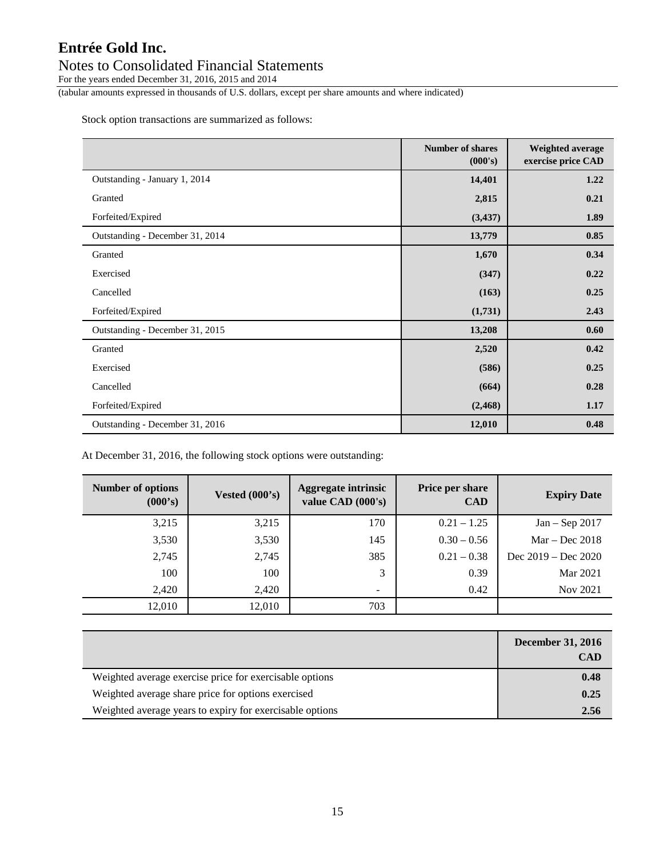## Notes to Consolidated Financial Statements

For the years ended December 31, 2016, 2015 and 2014

(tabular amounts expressed in thousands of U.S. dollars, except per share amounts and where indicated)

Stock option transactions are summarized as follows:

|                                 | <b>Number of shares</b><br>(000's) | Weighted average<br>exercise price CAD |
|---------------------------------|------------------------------------|----------------------------------------|
| Outstanding - January 1, 2014   | 14,401                             | 1.22                                   |
| Granted                         | 2,815                              | 0.21                                   |
| Forfeited/Expired               | (3, 437)                           | 1.89                                   |
| Outstanding - December 31, 2014 | 13,779                             | 0.85                                   |
| Granted                         | 1,670                              | 0.34                                   |
| Exercised                       | (347)                              | 0.22                                   |
| Cancelled                       | (163)                              | 0.25                                   |
| Forfeited/Expired               | (1,731)                            | 2.43                                   |
| Outstanding - December 31, 2015 | 13,208                             | 0.60                                   |
| Granted                         | 2,520                              | 0.42                                   |
| Exercised                       | (586)                              | 0.25                                   |
| Cancelled                       | (664)                              | 0.28                                   |
| Forfeited/Expired               | (2, 468)                           | 1.17                                   |
| Outstanding - December 31, 2016 | 12,010                             | 0.48                                   |

At December 31, 2016, the following stock options were outstanding:

| Number of options<br>(000's) | Vested $(000's)$ | <b>Aggregate intrinsic</b><br>value CAD (000's) | Price per share<br><b>CAD</b> | <b>Expiry Date</b>    |
|------------------------------|------------------|-------------------------------------------------|-------------------------------|-----------------------|
| 3,215                        | 3,215            | 170                                             | $0.21 - 1.25$                 | $Jan - Sep$ 2017      |
| 3,530                        | 3,530            | 145                                             | $0.30 - 0.56$                 | $Mar - Dec 2018$      |
| 2,745                        | 2,745            | 385                                             | $0.21 - 0.38$                 | Dec $2019 - Dec 2020$ |
| 100                          | 100              | 3                                               | 0.39                          | Mar 2021              |
| 2,420                        | 2,420            | $\overline{\phantom{m}}$                        | 0.42                          | Nov 2021              |
| 12,010                       | 12,010           | 703                                             |                               |                       |

|                                                          | <b>December 31, 2016</b><br><b>CAD</b> |
|----------------------------------------------------------|----------------------------------------|
| Weighted average exercise price for exercisable options  | 0.48                                   |
| Weighted average share price for options exercised       | 0.25                                   |
| Weighted average years to expiry for exercisable options | 2.56                                   |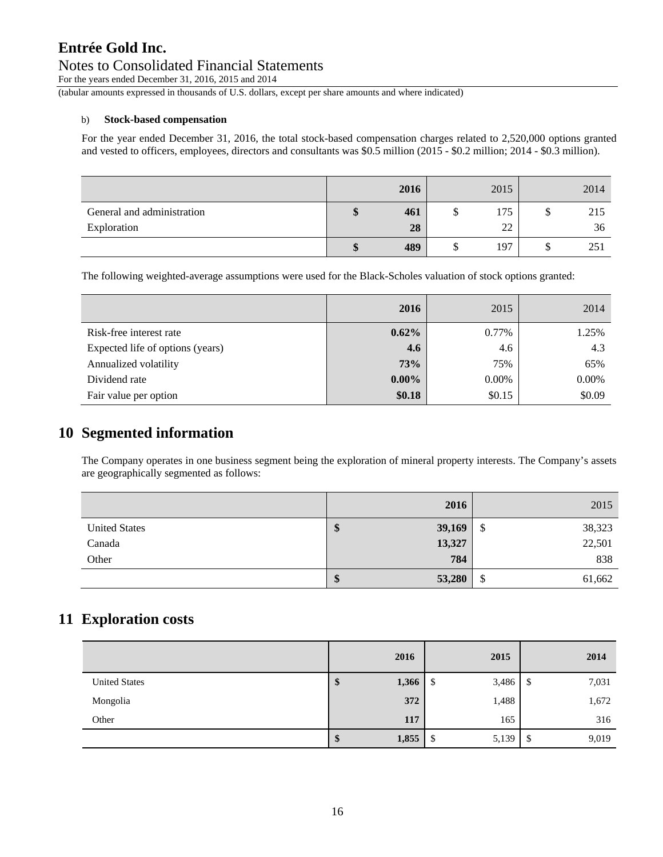### Notes to Consolidated Financial Statements

For the years ended December 31, 2016, 2015 and 2014

(tabular amounts expressed in thousands of U.S. dollars, except per share amounts and where indicated)

### b) **Stock-based compensation**

For the year ended December 31, 2016, the total stock-based compensation charges related to 2,520,000 options granted and vested to officers, employees, directors and consultants was \$0.5 million (2015 - \$0.2 million; 2014 - \$0.3 million).

|                            |         | 2016 | 2015 |         | 2014 |
|----------------------------|---------|------|------|---------|------|
| General and administration | ₼<br>۱D | 461  | 175  | ¢<br>D  | 215  |
| Exploration                |         | 28   | 22   |         | 36   |
|                            | \$      | 489  | 197  | Φ<br>۰D | 251  |

The following weighted-average assumptions were used for the Black-Scholes valuation of stock options granted:

|                                  | 2016     | 2015   | 2014   |
|----------------------------------|----------|--------|--------|
| Risk-free interest rate          | $0.62\%$ | 0.77%  | 1.25%  |
| Expected life of options (years) | 4.6      | 4.6    | 4.3    |
| Annualized volatility            | 73%      | 75%    | 65%    |
| Dividend rate                    | $0.00\%$ | 0.00%  | 0.00%  |
| Fair value per option            | \$0.18   | \$0.15 | \$0.09 |

# **10 Segmented information**

The Company operates in one business segment being the exploration of mineral property interests. The Company's assets are geographically segmented as follows:

|                      | 2016        | 2015             |
|----------------------|-------------|------------------|
| <b>United States</b> | 39,169<br>Φ | 38,323<br>\$     |
| Canada               | 13,327      | 22,501           |
| Other                | 784         | 838              |
|                      | 53,280<br>Φ | ¢<br>61,662<br>D |

## **11 Exploration costs**

|                      | 2016        | 2015        | 2014                   |
|----------------------|-------------|-------------|------------------------|
| <b>United States</b> | 1,366<br>Ф  | 3,486<br>\$ | 7,031<br><sup>\$</sup> |
| Mongolia             | 372         | 1,488       | 1,672                  |
| Other                | 117         | 165         | 316                    |
|                      | 1,855<br>ΨР | 5,139<br>\$ | 9,019<br>\$            |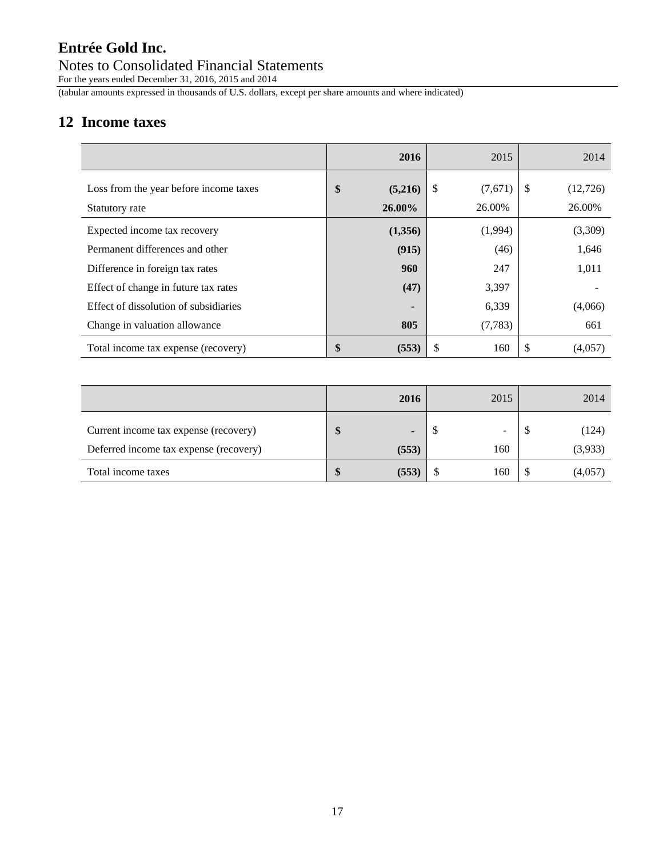## Notes to Consolidated Financial Statements

For the years ended December 31, 2016, 2015 and 2014

(tabular amounts expressed in thousands of U.S. dollars, except per share amounts and where indicated)

# **12 Income taxes**

|                                                          | 2016                       | 2015                    | 2014                      |
|----------------------------------------------------------|----------------------------|-------------------------|---------------------------|
| Loss from the year before income taxes<br>Statutory rate | \$<br>(5,216)<br>$26.00\%$ | \$<br>(7,671)<br>26.00% | \$.<br>(12,726)<br>26.00% |
| Expected income tax recovery                             | (1,356)                    | (1,994)                 | (3,309)                   |
| Permanent differences and other                          | (915)                      | (46)                    | 1,646                     |
| Difference in foreign tax rates                          | 960                        | 247                     | 1,011                     |
| Effect of change in future tax rates                     | (47)                       | 3,397                   |                           |
| Effect of dissolution of subsidiaries                    |                            | 6,339                   | (4,066)                   |
| Change in valuation allowance                            | 805                        | (7, 783)                | 661                       |
| Total income tax expense (recovery)                      | \$<br>(553)                | \$<br>160               | S<br>(4,057)              |

|                                                                                 | 2016                    | 2015                            | 2014             |
|---------------------------------------------------------------------------------|-------------------------|---------------------------------|------------------|
| Current income tax expense (recovery)<br>Deferred income tax expense (recovery) | $\blacksquare$<br>(553) | $\overline{\phantom{0}}$<br>160 | (124)<br>(3,933) |
| Total income taxes                                                              | (553)                   | 160                             | (4,057)          |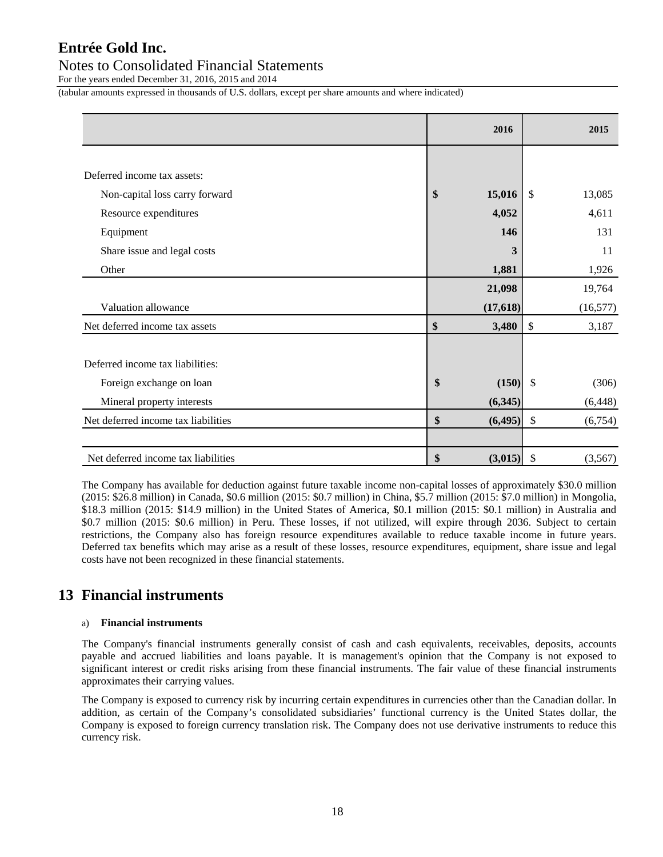### Notes to Consolidated Financial Statements

For the years ended December 31, 2016, 2015 and 2014

(tabular amounts expressed in thousands of U.S. dollars, except per share amounts and where indicated)

|                                     | 2016           |                           | 2015      |
|-------------------------------------|----------------|---------------------------|-----------|
|                                     |                |                           |           |
| Deferred income tax assets:         |                |                           |           |
| Non-capital loss carry forward      | \$<br>15,016   | $\mathcal{S}$             | 13,085    |
| Resource expenditures               | 4,052          |                           | 4,611     |
| Equipment                           | 146            |                           | 131       |
| Share issue and legal costs         | 3              |                           | 11        |
| Other                               | 1,881          |                           | 1,926     |
|                                     | 21,098         |                           | 19,764    |
| Valuation allowance                 | (17, 618)      |                           | (16, 577) |
| Net deferred income tax assets      | \$<br>3,480    | \$                        | 3,187     |
|                                     |                |                           |           |
| Deferred income tax liabilities:    |                |                           |           |
| Foreign exchange on loan            | \$<br>(150)    | $\mathcal{S}$             | (306)     |
| Mineral property interests          | (6,345)        |                           | (6, 448)  |
| Net deferred income tax liabilities | \$<br>(6, 495) | \$                        | (6,754)   |
|                                     |                |                           |           |
| Net deferred income tax liabilities | \$<br>(3,015)  | $\boldsymbol{\mathsf{S}}$ | (3,567)   |

The Company has available for deduction against future taxable income non-capital losses of approximately \$30.0 million (2015: \$26.8 million) in Canada, \$0.6 million (2015: \$0.7 million) in China, \$5.7 million (2015: \$7.0 million) in Mongolia, \$18.3 million (2015: \$14.9 million) in the United States of America, \$0.1 million (2015: \$0.1 million) in Australia and \$0.7 million (2015: \$0.6 million) in Peru. These losses, if not utilized, will expire through 2036. Subject to certain restrictions, the Company also has foreign resource expenditures available to reduce taxable income in future years. Deferred tax benefits which may arise as a result of these losses, resource expenditures, equipment, share issue and legal costs have not been recognized in these financial statements.

## **13 Financial instruments**

### a) **Financial instruments**

The Company's financial instruments generally consist of cash and cash equivalents, receivables, deposits, accounts payable and accrued liabilities and loans payable. It is management's opinion that the Company is not exposed to significant interest or credit risks arising from these financial instruments. The fair value of these financial instruments approximates their carrying values.

The Company is exposed to currency risk by incurring certain expenditures in currencies other than the Canadian dollar. In addition, as certain of the Company's consolidated subsidiaries' functional currency is the United States dollar, the Company is exposed to foreign currency translation risk. The Company does not use derivative instruments to reduce this currency risk.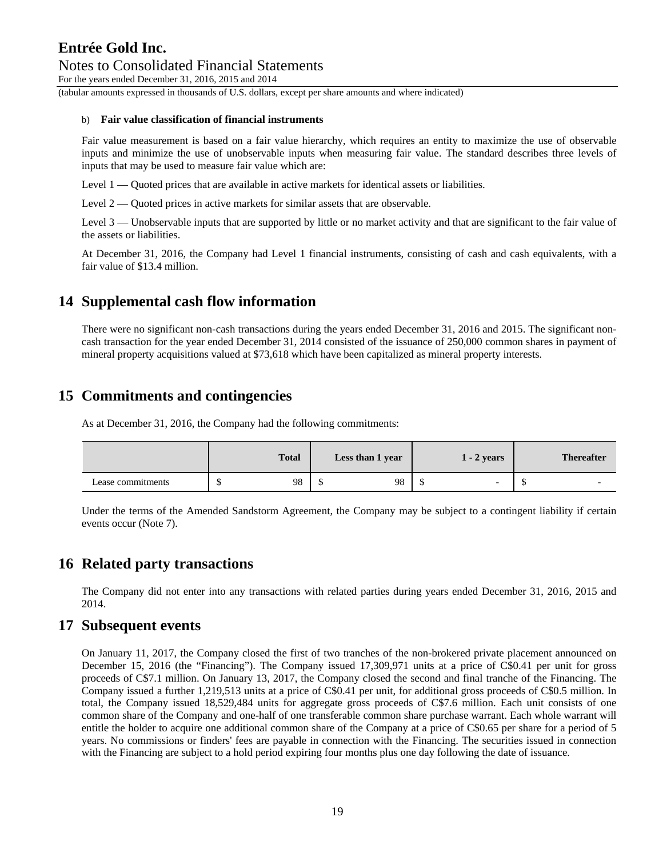For the years ended December 31, 2016, 2015 and 2014

(tabular amounts expressed in thousands of U.S. dollars, except per share amounts and where indicated)

#### b) **Fair value classification of financial instruments**

Fair value measurement is based on a fair value hierarchy, which requires an entity to maximize the use of observable inputs and minimize the use of unobservable inputs when measuring fair value. The standard describes three levels of inputs that may be used to measure fair value which are:

Level 1 — Quoted prices that are available in active markets for identical assets or liabilities.

Level 2 — Quoted prices in active markets for similar assets that are observable.

Level 3 — Unobservable inputs that are supported by little or no market activity and that are significant to the fair value of the assets or liabilities.

At December 31, 2016, the Company had Level 1 financial instruments, consisting of cash and cash equivalents, with a fair value of \$13.4 million.

### **14 Supplemental cash flow information**

There were no significant non-cash transactions during the years ended December 31, 2016 and 2015. The significant noncash transaction for the year ended December 31, 2014 consisted of the issuance of 250,000 common shares in payment of mineral property acquisitions valued at \$73,618 which have been capitalized as mineral property interests.

### **15 Commitments and contingencies**

As at December 31, 2016, the Company had the following commitments:

|                   | <b>Total</b> | Less than 1 year | $1 - 2$ years | <b>Thereafter</b>              |
|-------------------|--------------|------------------|---------------|--------------------------------|
| Lease commitments | 98           | 98               | -             | $\overline{\phantom{0}}$<br>۰U |

Under the terms of the Amended Sandstorm Agreement, the Company may be subject to a contingent liability if certain events occur (Note 7).

### **16 Related party transactions**

The Company did not enter into any transactions with related parties during years ended December 31, 2016, 2015 and 2014.

### **17 Subsequent events**

On January 11, 2017, the Company closed the first of two tranches of the non-brokered private placement announced on December 15, 2016 (the "Financing"). The Company issued 17,309,971 units at a price of C\$0.41 per unit for gross proceeds of C\$7.1 million. On January 13, 2017, the Company closed the second and final tranche of the Financing. The Company issued a further 1,219,513 units at a price of C\$0.41 per unit, for additional gross proceeds of C\$0.5 million. In total, the Company issued 18,529,484 units for aggregate gross proceeds of C\$7.6 million. Each unit consists of one common share of the Company and one-half of one transferable common share purchase warrant. Each whole warrant will entitle the holder to acquire one additional common share of the Company at a price of C\$0.65 per share for a period of 5 years. No commissions or finders' fees are payable in connection with the Financing. The securities issued in connection with the Financing are subject to a hold period expiring four months plus one day following the date of issuance.